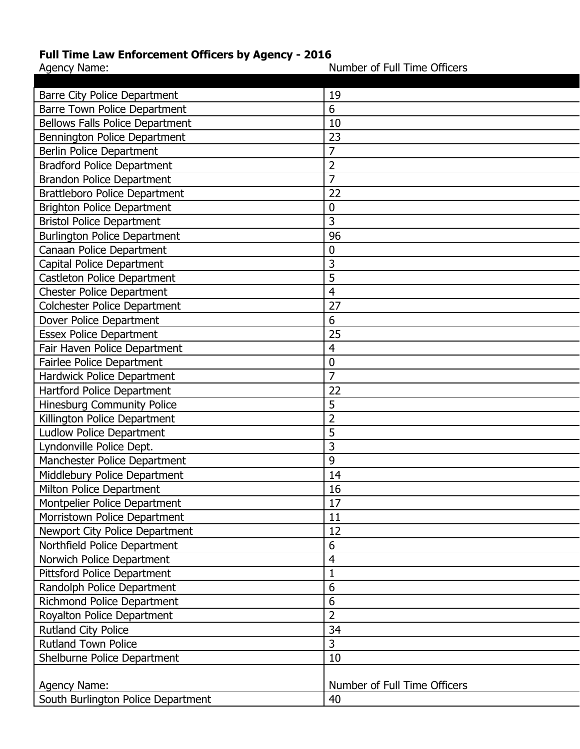## **Full Time Law Enforcement Officers by Agency - 2016**<br>Agency Name:

Agency 2012 Mumber of Full Time Officers

| <b>Barre City Police Department</b>    | 19                           |
|----------------------------------------|------------------------------|
| <b>Barre Town Police Department</b>    | 6                            |
| <b>Bellows Falls Police Department</b> | 10                           |
| Bennington Police Department           | 23                           |
| <b>Berlin Police Department</b>        | 7                            |
| <b>Bradford Police Department</b>      | $\overline{2}$               |
| <b>Brandon Police Department</b>       | $\overline{7}$               |
| <b>Brattleboro Police Department</b>   | 22                           |
| <b>Brighton Police Department</b>      | $\mathbf 0$                  |
| <b>Bristol Police Department</b>       | 3                            |
| <b>Burlington Police Department</b>    | 96                           |
| Canaan Police Department               | $\mathbf 0$                  |
| Capital Police Department              | 3                            |
| Castleton Police Department            | 5                            |
| <b>Chester Police Department</b>       | $\overline{4}$               |
| Colchester Police Department           | 27                           |
| Dover Police Department                | 6                            |
| <b>Essex Police Department</b>         | 25                           |
| Fair Haven Police Department           | $\overline{4}$               |
| <b>Fairlee Police Department</b>       | 0                            |
| Hardwick Police Department             | $\overline{7}$               |
| Hartford Police Department             | 22                           |
| Hinesburg Community Police             | 5                            |
| Killington Police Department           | $\overline{2}$               |
| <b>Ludlow Police Department</b>        | 5                            |
| Lyndonville Police Dept.               | 3                            |
| Manchester Police Department           | 9                            |
| Middlebury Police Department           | 14                           |
| Milton Police Department               | 16                           |
| Montpelier Police Department           | 17                           |
| Morristown Police Department           | 11                           |
| Newport City Police Department         | 12                           |
| Northfield Police Department           | 6                            |
| Norwich Police Department              | $\overline{4}$               |
| <b>Pittsford Police Department</b>     | 1                            |
| Randolph Police Department             | 6                            |
| <b>Richmond Police Department</b>      | 6                            |
| Royalton Police Department             | $\overline{2}$               |
| Rutland City Police                    | 34                           |
| <b>Rutland Town Police</b>             | 3                            |
| Shelburne Police Department            | 10                           |
|                                        |                              |
| Agency Name:                           | Number of Full Time Officers |
| South Burlington Police Department     | 40                           |